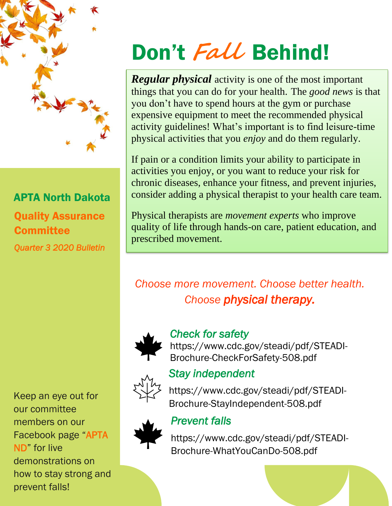

### APTA North Dakota Quality Assurance **Committee**

*Quarter 3 2020 Bulletin* 

Keep an eye out for our committee members on our Facebook page "APTA ND" for live demonstrations on how to stay strong and prevent falls!

# Don't **Fall** Behind!

*Regular physical* activity is one of the most important things that you can do for your health. The *good news* is that you don't have to spend hours at the gym or purchase expensive equipment to meet the recommended physical activity guidelines! What's important is to find leisure-time physical activities that you *enjoy* and do them regularly.

If pain or a condition limits your ability to participate in activities you enjoy, or you want to reduce your risk for chronic diseases, enhance your fitness, and prevent injuries, consider adding a physical therapist to your health care team.

Physical therapists are *movement experts* who improve quality of life through hands-on care, patient education, and prescribed movement.

## *Choose more movement. Choose better health. Choose physical therapy.*



#### *Check for safety*

https://www.cdc.gov/steadi/pdf/STEADI-Brochure-CheckForSafety-508.pdf

#### *Stay independent*

[https://www.cdc.gov/steadi/pdf/STEADI-](https://www.cdc.gov/steadi/pdf/STEADI-Brochure-StayIndependent-508.pdf)[Brochure-StayIndependent-508.pdf](https://www.cdc.gov/steadi/pdf/STEADI-Brochure-StayIndependent-508.pdf)



#### *Prevent falls*

[https://www.cdc.gov/steadi/pdf/STEADI-](https://www.cdc.gov/steadi/pdf/STEADI-Brochure-WhatYouCanDo-508.pdf)[Brochure-WhatYouCanDo-508.pdf](https://www.cdc.gov/steadi/pdf/STEADI-Brochure-WhatYouCanDo-508.pdf)